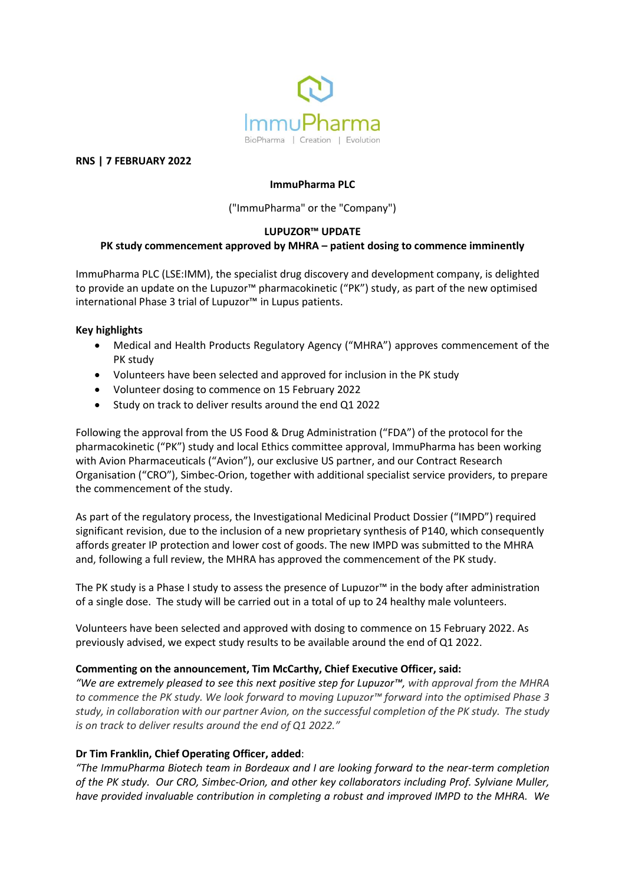

### **RNS | 7 FEBRUARY 2022**

# **ImmuPharma PLC**

("ImmuPharma" or the "Company")

# **LUPUZOR™ UPDATE PK study commencement approved by MHRA – patient dosing to commence imminently**

ImmuPharma PLC (LSE:IMM), the specialist drug discovery and development company, is delighted to provide an update on the Lupuzor™ pharmacokinetic ("PK") study, as part of the new optimised international Phase 3 trial of Lupuzor™ in Lupus patients.

## **Key highlights**

- Medical and Health Products Regulatory Agency ("MHRA") approves commencement of the PK study
- Volunteers have been selected and approved for inclusion in the PK study
- Volunteer dosing to commence on 15 February 2022
- Study on track to deliver results around the end Q1 2022

Following the approval from the US Food & Drug Administration ("FDA") of the protocol for the pharmacokinetic ("PK") study and local Ethics committee approval, ImmuPharma has been working with Avion Pharmaceuticals ("Avion"), our exclusive US partner, and our Contract Research Organisation ("CRO"), Simbec-Orion, together with additional specialist service providers, to prepare the commencement of the study.

As part of the regulatory process, the Investigational Medicinal Product Dossier ("IMPD") required significant revision, due to the inclusion of a new proprietary synthesis of P140, which consequently affords greater IP protection and lower cost of goods. The new IMPD was submitted to the MHRA and, following a full review, the MHRA has approved the commencement of the PK study.

The PK study is a Phase I study to assess the presence of Lupuzor™ in the body after administration of a single dose. The study will be carried out in a total of up to 24 healthy male volunteers.

Volunteers have been selected and approved with dosing to commence on 15 February 2022. As previously advised, we expect study results to be available around the end of Q1 2022.

## **Commenting on the announcement, Tim McCarthy, Chief Executive Officer, said:**

*"We are extremely pleased to see this next positive step for Lupuzor™, with approval from the MHRA to commence the PK study. We look forward to moving Lupuzor™ forward into the optimised Phase 3 study, in collaboration with our partner Avion, on the successful completion of the PK study. The study is on track to deliver results around the end of Q1 2022."*

## **Dr Tim Franklin, Chief Operating Officer, added**:

*"The ImmuPharma Biotech team in Bordeaux and I are looking forward to the near-term completion of the PK study. Our CRO, Simbec-Orion, and other key collaborators including Prof. Sylviane Muller, have provided invaluable contribution in completing a robust and improved IMPD to the MHRA. We*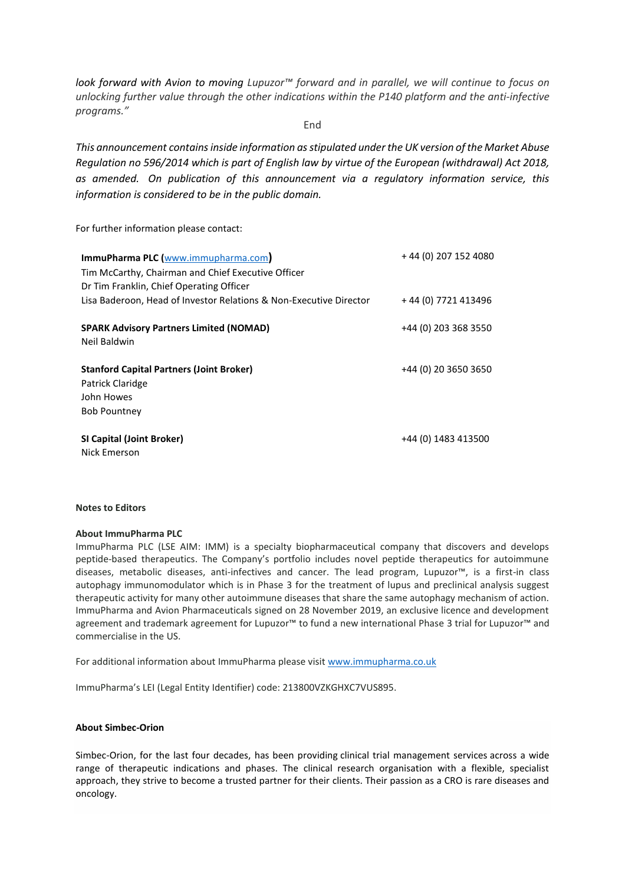*look forward with Avion to moving Lupuzor™ forward and in parallel, we will continue to focus on unlocking further value through the other indications within the P140 platform and the anti-infective programs."*

End

*This announcement contains inside information as stipulated under the UK version of the Market Abuse Regulation no 596/2014 which is part of English law by virtue of the European (withdrawal) Act 2018, as amended. On publication of this announcement via a regulatory information service, this information is considered to be in the public domain.*

For further information please contact:

| ImmuPharma PLC (www.immupharma.com)                                               | +44 (0) 207 152 4080 |
|-----------------------------------------------------------------------------------|----------------------|
| Tim McCarthy, Chairman and Chief Executive Officer                                |                      |
| Dr Tim Franklin, Chief Operating Officer                                          |                      |
| Lisa Baderoon, Head of Investor Relations & Non-Executive Director                | +44 (0) 7721 413496  |
| <b>SPARK Advisory Partners Limited (NOMAD)</b><br>Neil Baldwin                    | +44 (0) 203 368 3550 |
| <b>Stanford Capital Partners (Joint Broker)</b><br>Patrick Claridge<br>John Howes | +44 (0) 20 3650 3650 |
| <b>Bob Pountney</b>                                                               |                      |
| <b>SI Capital (Joint Broker)</b><br>Nick Emerson                                  | +44 (0) 1483 413500  |

#### **Notes to Editors**

#### **About ImmuPharma PLC**

ImmuPharma PLC (LSE AIM: IMM) is a specialty biopharmaceutical company that discovers and develops peptide-based therapeutics. The Company's portfolio includes novel peptide therapeutics for autoimmune diseases, metabolic diseases, anti-infectives and cancer. The lead program, Lupuzor™, is a first-in class autophagy immunomodulator which is in Phase 3 for the treatment of lupus and preclinical analysis suggest therapeutic activity for many other autoimmune diseases that share the same autophagy mechanism of action. ImmuPharma and Avion Pharmaceuticals signed on 28 November 2019, an exclusive licence and development agreement and trademark agreement for Lupuzor™ to fund a new international Phase 3 trial for Lupuzor™ and commercialise in the US.

For additional information about ImmuPharma please visit www.immupharma.co.uk

ImmuPharma's LEI (Legal Entity Identifier) code: 213800VZKGHXC7VUS895.

### **About Simbec-Orion**

Simbec-Orion, for the last four decades, has been providing clinical trial management services across a wide range of therapeutic indications and phases. The clinical research organisation with a flexible, specialist approach, they strive to become a trusted partner for their clients. Their passion as a CRO is rare diseases and oncology.